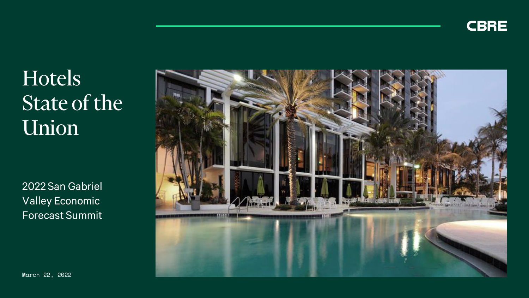

# **Hotels** State of the Union

2022 San Gabriel Valley Economic Forecast Summit

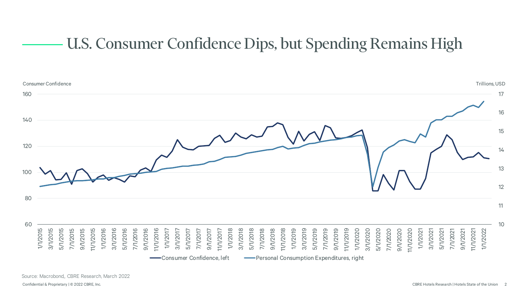### U.S. Consumer Confidence Dips, but Spending Remains High

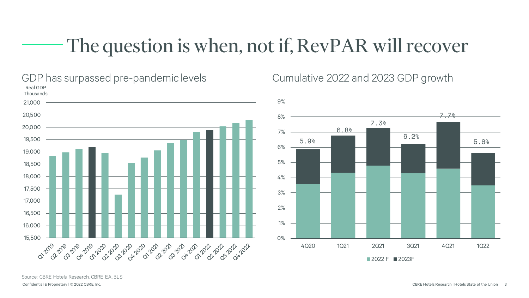# The question is when, not if, RevPAR will recover



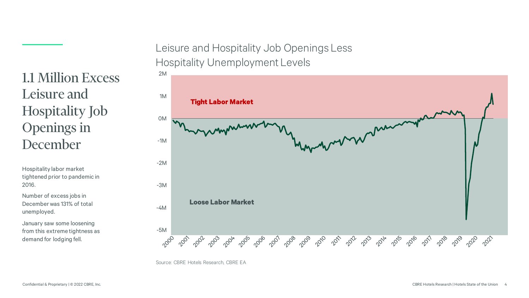Leisure and Hospitality Job Openings Less Hospitality Unemployment Levels

#### 2M 1M **Tight Labor Market** 0M -1M -2M -3M **Loose Labor Market** -4M -5M 2002 2000 2002 2003 2004 2003 200 2003 2009 2010 2011 2012 2014 2016 2019 2019 2019 2021 2019 2020

Source: CBRE Hotels Research, CBRE EA

### 1.1 Million Excess Leisure and Hospitality Job Openings in December

Hospitality labor market tightened prior to pandemic in 2016. Number of excess jobs in December was 131% of total unemployed.

January saw some loosening from this extreme tightness as demand for lodging fell.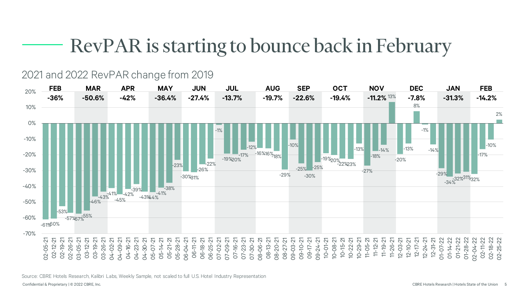# RevPAR is starting to bounce back in February

#### 2021 and 2022 RevPAR change from 2019



Source: CBRE Hotels Research, Kalibri Labs, Weekly Sample, not scaled to full U.S. Hotel Industry Representation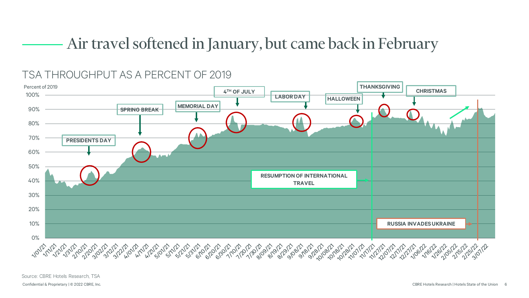### Air travel softened in January, but came back in February

### TSA THROUGHPUT AS A PERCENT OF 2019



Source: CBRE Hotels Research, TSA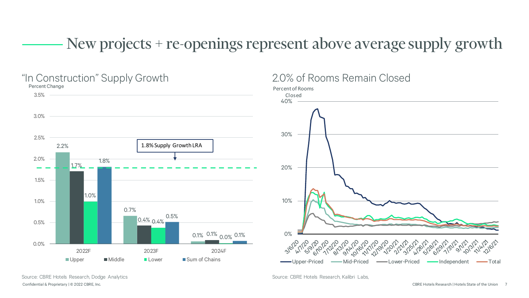### New projects + re-openings represent above average supply growth



Confidential & Proprietary | © 2022 CBRE, Inc. CBRE Hotels Research | Hotels State of the Union 7 Source: CBRE Hotels Research, Dodge Analytics Source: CBRE Hotels Research, Kalibri Labs,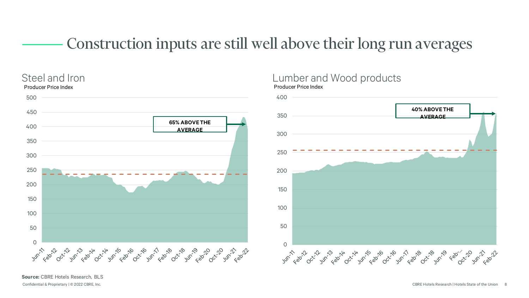### Construction inputs are still well above their long run averages



#### Steel and Iron **Contract Contract Contract Contract Contract Contract Contract Contract Contract Contract Contract Contract Contract Contract Contract Contract Contract Contract Contract Contract Contract Contract Contract** Producer Price Index



**Source:** CBRE Hotels Research, BLS

Confidential & Proprietary | © 2022 CBRE, Inc. CBRE Hotels Research | Hotels State of the Union 8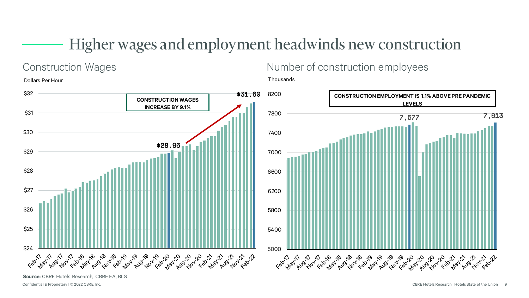### Higher wages and employment headwinds new construction

### Dollars Per Hour \$32 \$31.60 **CONSTRUCTION WAGES INCREASE BY 9.1%**\$31 \$30 \$28.96 \$29 \$28 \$27 \$26 \$25 \$24 Feb<sup>277</sup> May boo for the bas boo for the bas for the for the for the for the for the day

Construction Wages **Number of construction employees** 

Thousands



**Source:** CBRE Hotels Research, CBRE EA, BLS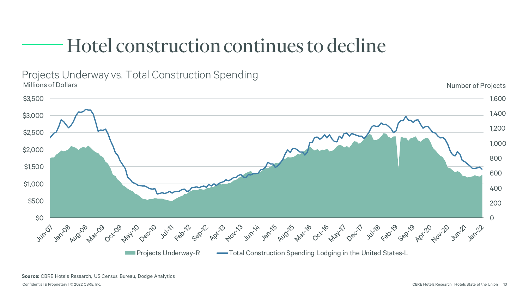# Hotel construction continues to decline



Projects Underway vs. Total Construction Spending<br>Millions of Dollars Millions of Dollars **Number of Projects** 

**Source:** CBRE Hotels Research, US Census Bureau, Dodge Analytics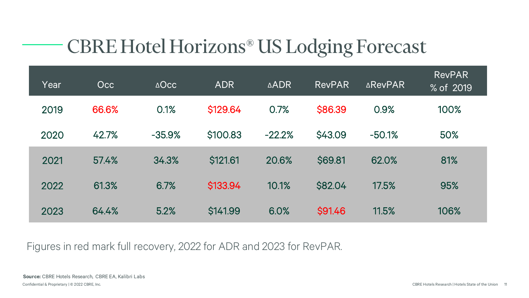# CBRE Hotel Horizons® US Lodging Forecast

| Year | Occ   | $\triangle$ Occ | <b>ADR</b> | <b>ADR</b> | <b>RevPAR</b> | <b>AREVPAR</b> | <b>RevPAR</b><br>% of 2019 |
|------|-------|-----------------|------------|------------|---------------|----------------|----------------------------|
| 2019 | 66.6% | 0.1%            | \$129.64   | 0.7%       | \$86.39       | 0.9%           | 100%                       |
| 2020 | 42.7% | $-35.9%$        | \$100.83   | $-22.2%$   | \$43.09       | $-50.1%$       | 50%                        |
| 2021 | 57.4% | 34.3%           | \$121.61   | 20.6%      | \$69.81       | 62.0%          | 81%                        |
| 2022 | 61.3% | 6.7%            | \$133.94   | 10.1%      | \$82.04       | 17.5%          | 95%                        |
| 2023 | 64.4% | 5.2%            | \$141.99   | 6.0%       | \$91.46       | 11.5%          | 106%                       |

Figures in red mark full recovery, 2022 for ADR and 2023 for RevPAR.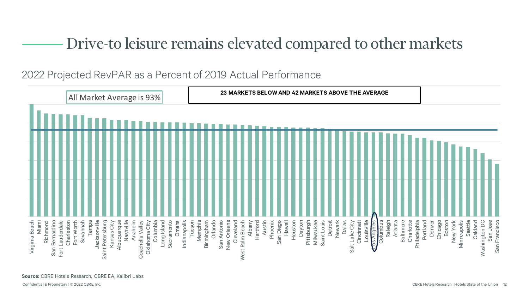### Drive-to leisure remains elevated compared to other markets

2022 Projected RevPAR as a Percent of 2019 Actual Performance

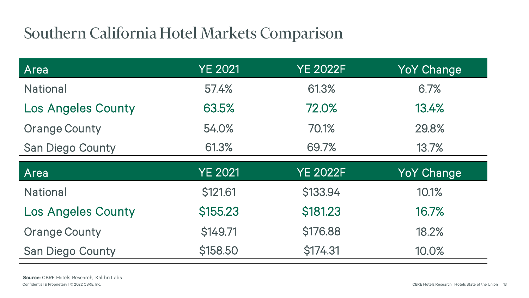## Southern California Hotel Markets Comparison

| Area                      | <b>YE 2021</b> | <b>YE 2022F</b> | <b>YoY Change</b> |  |
|---------------------------|----------------|-----------------|-------------------|--|
| <b>National</b>           | 57.4%          | 61.3%           | 6.7%              |  |
| <b>Los Angeles County</b> | 63.5%          | 72.0%           | 13.4%             |  |
| <b>Orange County</b>      | 70.1%<br>54.0% |                 | 29.8%             |  |
| <b>San Diego County</b>   | 61.3%<br>69.7% |                 | 13.7%             |  |
|                           |                |                 |                   |  |
| Area                      | YE 2021        | <b>YE 2022F</b> | <b>YoY Change</b> |  |
| <b>National</b>           | \$121.61       | \$133.94        | 10.1%             |  |
| <b>Los Angeles County</b> | \$155.23       | \$181.23        | 16.7%             |  |
| <b>Orange County</b>      | \$149.71       | \$176.88        | 18.2%             |  |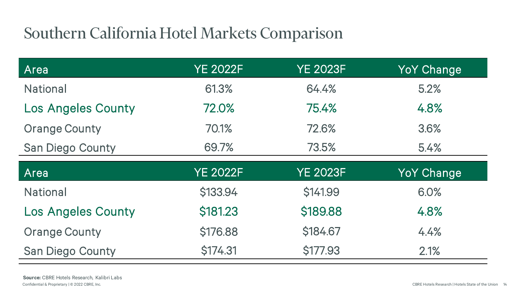## Southern California Hotel Markets Comparison

| Area                      | <b>YE 2022F</b> | <b>YE 2023F</b> | <b>YoY Change</b> |  |
|---------------------------|-----------------|-----------------|-------------------|--|
| <b>National</b>           | 61.3%           | 64.4%           | 5.2%              |  |
| <b>Los Angeles County</b> | 72.0%           | 75.4%           | 4.8%              |  |
| <b>Orange County</b>      | 70.1%<br>72.6%  |                 | 3.6%              |  |
| <b>San Diego County</b>   | 69.7%           | 73.5%           | 5.4%              |  |
|                           |                 |                 |                   |  |
| Area                      | <b>YE 2022F</b> | <b>YE 2023F</b> | <b>YoY Change</b> |  |
| <b>National</b>           | \$133.94        | \$141.99        | 6.0%              |  |
| <b>Los Angeles County</b> | \$181.23        | \$189.88        | 4.8%              |  |
| <b>Orange County</b>      | \$176.88        | \$184.67        | 4.4%              |  |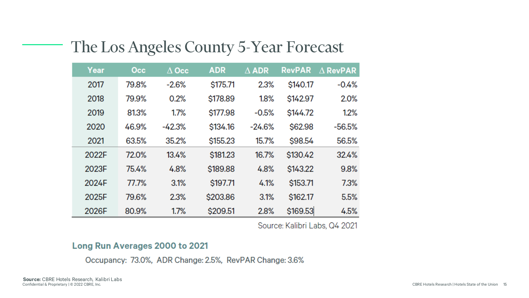| Year  | Occ   | $\Delta$ Occ | <b>ADR</b> | $\Delta$ ADR | <b>RevPAR</b> | $\Delta$ RevPAR |
|-------|-------|--------------|------------|--------------|---------------|-----------------|
| 2017  | 79.8% | $-2.6%$      | \$175.71   | 2.3%         | \$140.17      | $-0.4%$         |
| 2018  | 79.9% | 0.2%         | \$178.89   | 1.8%         | \$142.97      | 2.0%            |
| 2019  | 81.3% | 1.7%         | \$177.98   | $-0.5%$      | \$144.72      | 1.2%            |
| 2020  | 46.9% | $-42.3%$     | \$134.16   | $-24.6%$     | \$62.98       | $-56.5%$        |
| 2021  | 63.5% | 35.2%        | \$155.23   | 15.7%        | \$98.54       | 56.5%           |
| 2022F | 72.0% | 13.4%        | \$181.23   | 16.7%        | \$130.42      | 32.4%           |
| 2023F | 75.4% | 4.8%         | \$189.88   | 4.8%         | \$143.22      | 9.8%            |
| 2024F | 77.7% | 3.1%         | \$197.71   | 4.1%         | \$153.71      | 7.3%            |
| 2025F | 79.6% | 2.3%         | \$203.86   | 3.1%         | \$162.17      | 5.5%            |
| 2026F | 80.9% | 1.7%         | \$209.51   | 2.8%         | \$169.53      | 4.5%            |

### The Los Angeles County 5-Year Forecast

Source: Kalibri Labs, Q4 2021

#### Long Run Averages 2000 to 2021

Occupancy: 73.0%, ADR Change: 2.5%, RevPAR Change: 3.6%